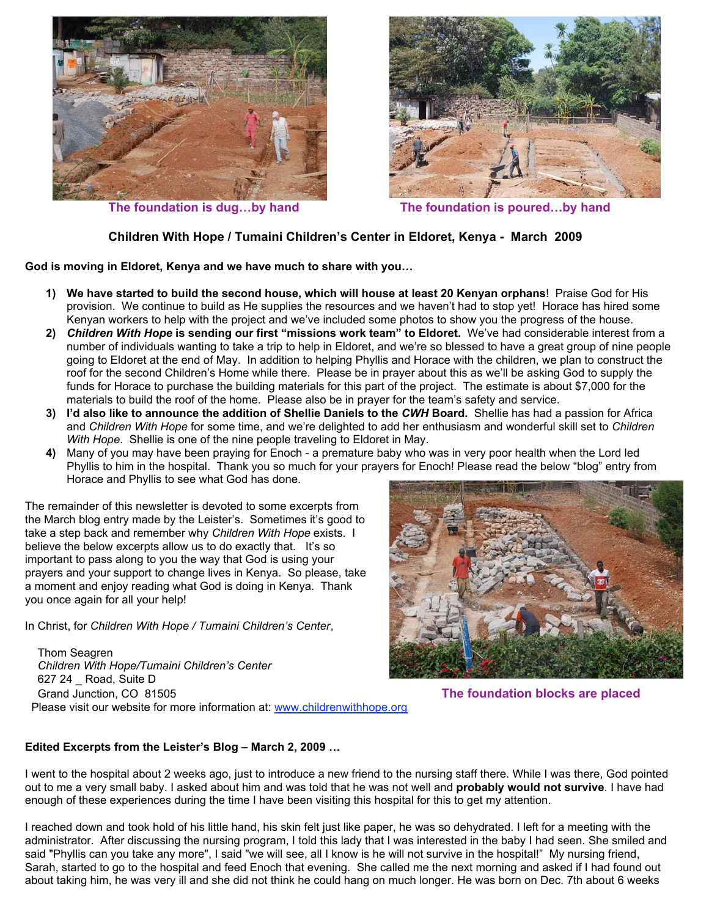



 **The foundation is dug…by hand The foundation is poured…by hand**

## **Children With Hope / Tumaini Children's Center in Eldoret, Kenya - March 2009**

**God is moving in Eldoret, Kenya and we have much to share with you…**

- **1) We have started to build the second house, which will house at least 20 Kenyan orphans**! Praise God for His provision. We continue to build as He supplies the resources and we haven't had to stop yet! Horace has hired some Kenyan workers to help with the project and we've included some photos to show you the progress of the house.
- **2)** *Children With Hope* **is sending our first "missions work team" to Eldoret.** We've had considerable interest from a number of individuals wanting to take a trip to help in Eldoret, and we're so blessed to have a great group of nine people going to Eldoret at the end of May. In addition to helping Phyllis and Horace with the children, we plan to construct the roof for the second Children's Home while there. Please be in prayer about this as we'll be asking God to supply the funds for Horace to purchase the building materials for this part of the project. The estimate is about \$7,000 for the materials to build the roof of the home. Please also be in prayer for the team's safety and service.
- **3) I'd also like to announce the addition of Shellie Daniels to the** *CWH* **Board.** Shellie has had a passion for Africa and *Children With Hope* for some time, and we're delighted to add her enthusiasm and wonderful skill set to *Children With Hope*. Shellie is one of the nine people traveling to Eldoret in May.
- **4)** Many of you may have been praying for Enoch a premature baby who was in very poor health when the Lord led Phyllis to him in the hospital. Thank you so much for your prayers for Enoch! Please read the below "blog" entry from Horace and Phyllis to see what God has done.

The remainder of this newsletter is devoted to some excerpts from the March blog entry made by the Leister's. Sometimes it's good to take a step back and remember why *Children With Hope* exists. I believe the below excerpts allow us to do exactly that. It's so important to pass along to you the way that God is using your prayers and your support to change lives in Kenya. So please, take a moment and enjoy reading what God is doing in Kenya. Thank you once again for all your help!

In Christ, for *Children With Hope / Tumaini Children's Center*,

 Thom Seagren  *Children With Hope/Tumaini Children's Center* 627 24 \_ Road, Suite D Grand Junction, CO 81505 **The foundation blocks are placed** Please visit our website for more information at: www.childrenwithhope.org



## **Edited Excerpts from the Leister's Blog – March 2, 2009 …**

I went to the hospital about 2 weeks ago, just to introduce a new friend to the nursing staff there. While I was there, God pointed out to me a very small baby. I asked about him and was told that he was not well and **probably would not survive**. I have had enough of these experiences during the time I have been visiting this hospital for this to get my attention.

I reached down and took hold of his little hand, his skin felt just like paper, he was so dehydrated. I left for a meeting with the administrator. After discussing the nursing program, I told this lady that I was interested in the baby I had seen. She smiled and said "Phyllis can you take any more", I said "we will see, all I know is he will not survive in the hospital!" My nursing friend, Sarah, started to go to the hospital and feed Enoch that evening. She called me the next morning and asked if I had found out about taking him, he was very ill and she did not think he could hang on much longer. He was born on Dec. 7th about 6 weeks